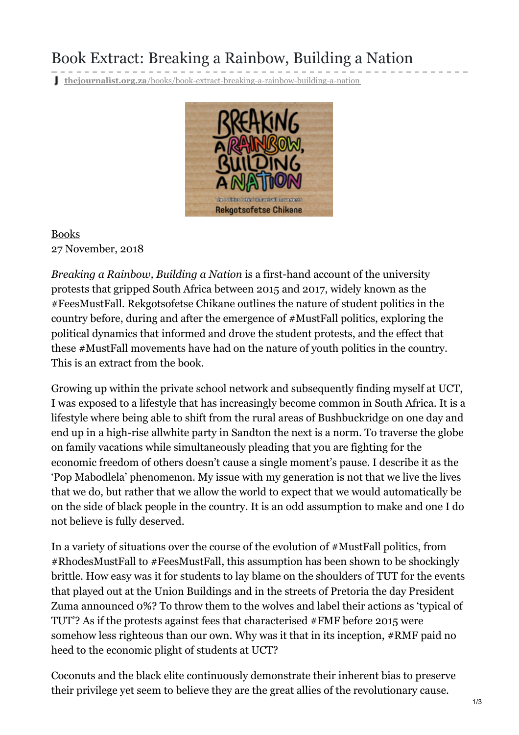## Book Extract: Breaking a Rainbow, Building a Nation

**thejournalist.org.za**[/books/book-extract-breaking-a-rainbow-building-a-nation](https://www.thejournalist.org.za/books/book-extract-breaking-a-rainbow-building-a-nation)



[Books](https://www.thejournalist.org.za/books) 27 November, 2018

*Breaking a Rainbow, Building a Nation* is a first-hand account of the university protests that gripped South Africa between 2015 and 2017, widely known as the #FeesMustFall. Rekgotsofetse Chikane outlines the nature of student politics in the country before, during and after the emergence of #MustFall politics, exploring the political dynamics that informed and drove the student protests, and the effect that these #MustFall movements have had on the nature of youth politics in the country. This is an extract from the book.

Growing up within the private school network and subsequently finding myself at UCT, I was exposed to a lifestyle that has increasingly become common in South Africa. It is a lifestyle where being able to shift from the rural areas of Bushbuckridge on one day and end up in a high-rise allwhite party in Sandton the next is a norm. To traverse the globe on family vacations while simultaneously pleading that you are fighting for the economic freedom of others doesn't cause a single moment's pause. I describe it as the 'Pop Mabodlela' phenomenon. My issue with my generation is not that we live the lives that we do, but rather that we allow the world to expect that we would automatically be on the side of black people in the country. It is an odd assumption to make and one I do not believe is fully deserved.

In a variety of situations over the course of the evolution of #MustFall politics, from #RhodesMustFall to #FeesMustFall, this assumption has been shown to be shockingly brittle. How easy was it for students to lay blame on the shoulders of TUT for the events that played out at the Union Buildings and in the streets of Pretoria the day President Zuma announced 0%? To throw them to the wolves and label their actions as 'typical of TUT'? As if the protests against fees that characterised #FMF before 2015 were somehow less righteous than our own. Why was it that in its inception, #RMF paid no heed to the economic plight of students at UCT?

Coconuts and the black elite continuously demonstrate their inherent bias to preserve their privilege yet seem to believe they are the great allies of the revolutionary cause.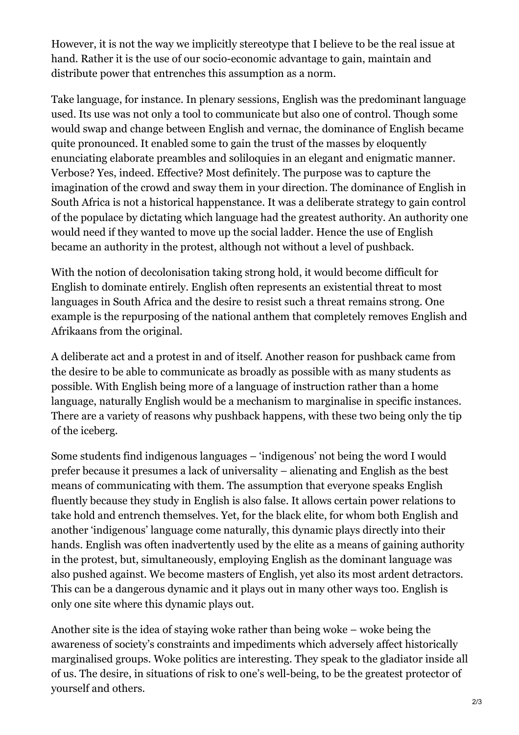However, it is not the way we implicitly stereotype that I believe to be the real issue at hand. Rather it is the use of our socio-economic advantage to gain, maintain and distribute power that entrenches this assumption as a norm.

Take language, for instance. In plenary sessions, English was the predominant language used. Its use was not only a tool to communicate but also one of control. Though some would swap and change between English and vernac, the dominance of English became quite pronounced. It enabled some to gain the trust of the masses by eloquently enunciating elaborate preambles and soliloquies in an elegant and enigmatic manner. Verbose? Yes, indeed. Effective? Most definitely. The purpose was to capture the imagination of the crowd and sway them in your direction. The dominance of English in South Africa is not a historical happenstance. It was a deliberate strategy to gain control of the populace by dictating which language had the greatest authority. An authority one would need if they wanted to move up the social ladder. Hence the use of English became an authority in the protest, although not without a level of pushback.

With the notion of decolonisation taking strong hold, it would become difficult for English to dominate entirely. English often represents an existential threat to most languages in South Africa and the desire to resist such a threat remains strong. One example is the repurposing of the national anthem that completely removes English and Afrikaans from the original.

A deliberate act and a protest in and of itself. Another reason for pushback came from the desire to be able to communicate as broadly as possible with as many students as possible. With English being more of a language of instruction rather than a home language, naturally English would be a mechanism to marginalise in specific instances. There are a variety of reasons why pushback happens, with these two being only the tip of the iceberg.

Some students find indigenous languages – 'indigenous' not being the word I would prefer because it presumes a lack of universality – alienating and English as the best means of communicating with them. The assumption that everyone speaks English fluently because they study in English is also false. It allows certain power relations to take hold and entrench themselves. Yet, for the black elite, for whom both English and another 'indigenous' language come naturally, this dynamic plays directly into their hands. English was often inadvertently used by the elite as a means of gaining authority in the protest, but, simultaneously, employing English as the dominant language was also pushed against. We become masters of English, yet also its most ardent detractors. This can be a dangerous dynamic and it plays out in many other ways too. English is only one site where this dynamic plays out.

Another site is the idea of staying woke rather than being woke – woke being the awareness of society's constraints and impediments which adversely affect historically marginalised groups. Woke politics are interesting. They speak to the gladiator inside all of us. The desire, in situations of risk to one's well-being, to be the greatest protector of yourself and others.